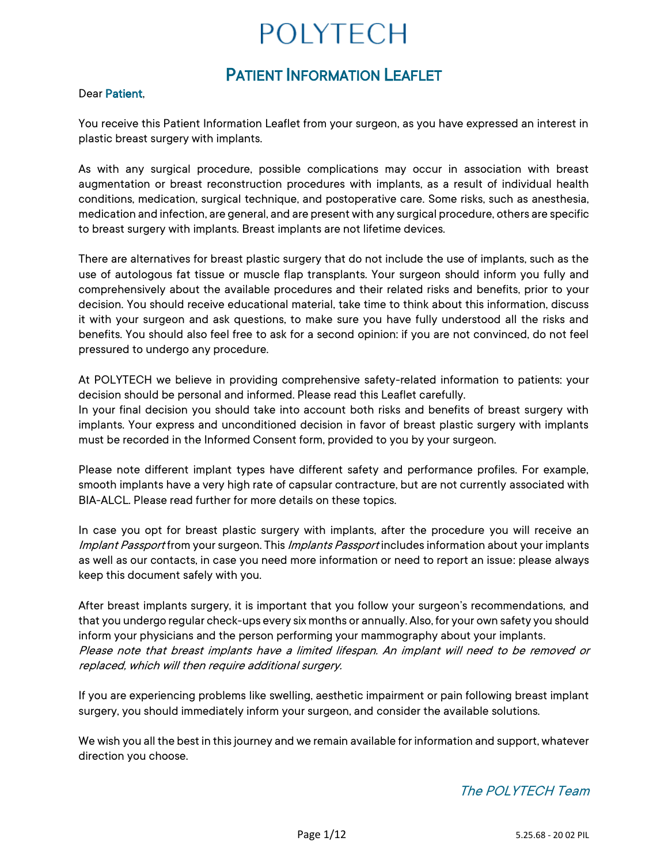# PATIENT INFORMATION LEAFLET

#### Dear Patient,

You receive this Patient Information Leaflet from your surgeon, as you have expressed an interest in plastic breast surgery with implants.

As with any surgical procedure, possible complications may occur in association with breast augmentation or breast reconstruction procedures with implants, as a result of individual health conditions, medication, surgical technique, and postoperative care. Some risks, such as anesthesia, medication and infection, are general, and are present with any surgical procedure, others are specific to breast surgery with implants. Breast implants are not lifetime devices.

There are alternatives for breast plastic surgery that do not include the use of implants, such as the use of autologous fat tissue or muscle flap transplants. Your surgeon should inform you fully and comprehensively about the available procedures and their related risks and benefits, prior to your decision. You should receive educational material, take time to think about this information, discuss it with your surgeon and ask questions, to make sure you have fully understood all the risks and benefits. You should also feel free to ask for a second opinion: if you are not convinced, do not feel pressured to undergo any procedure.

At POLYTECH we believe in providing comprehensive safety-related information to patients: your decision should be personal and informed. Please read this Leaflet carefully.

In your final decision you should take into account both risks and benefits of breast surgery with implants. Your express and unconditioned decision in favor of breast plastic surgery with implants must be recorded in the Informed Consent form, provided to you by your surgeon.

Please note different implant types have different safety and performance profiles. For example, smooth implants have a very high rate of capsular contracture, but are not currently associated with BIA-ALCL. Please read further for more details on these topics.

In case you opt for breast plastic surgery with implants, after the procedure you will receive an Implant Passport from your surgeon. This Implants Passport includes information about your implants as well as our contacts, in case you need more information or need to report an issue: please always keep this document safely with you.

After breast implants surgery, it is important that you follow your surgeon's recommendations, and that you undergo regular check-ups every six months or annually. Also, for your own safety you should inform your physicians and the person performing your mammography about your implants. Please note that breast implants have a limited lifespan. An implant will need to be removed or replaced, which will then require additional surgery.

If you are experiencing problems like swelling, aesthetic impairment or pain following breast implant surgery, you should immediately inform your surgeon, and consider the available solutions.

We wish you all the best in this journey and we remain available for information and support, whatever direction you choose.

# The POLYTECH Team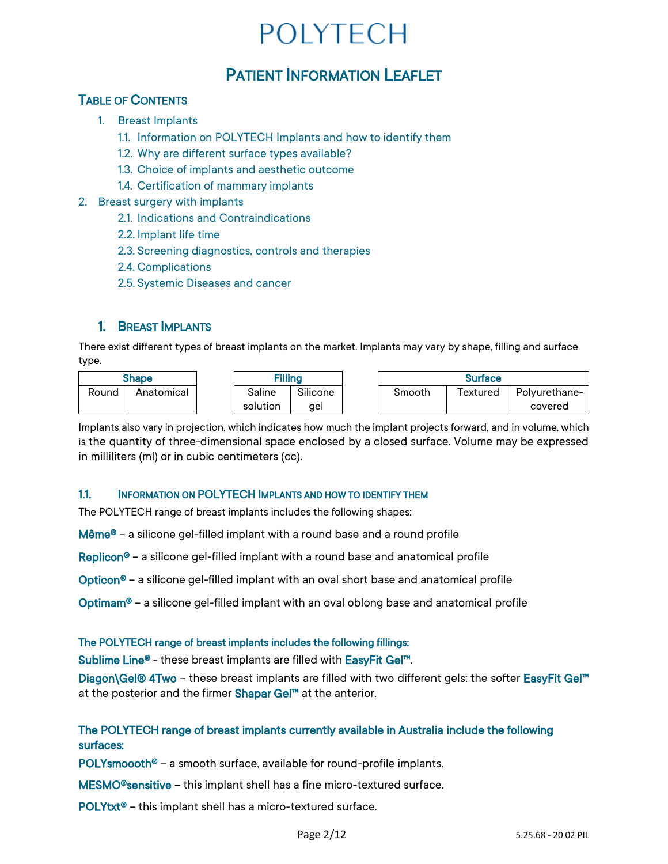# PATIENT INFORMATION LEAFLET

# TABLE OF CONTENTS

- 1. Breast Implants
	- 1.1. Information on POLYTECH Implants and how to identify them
	- 1.2. Why are different surface types available?
	- 1.3. Choice of implants and aesthetic outcome
	- 1.4. Certification of mammary implants
- 2. Breast surgery with implants
	- 2.1. Indications and Contraindications
	- 2.2. Implant life time
	- 2.3. Screening diagnostics, controls and therapies
	- 2.4. Complications
	- 2.5. Systemic Diseases and cancer

# 1. BREAST IMPLANTS

There exist different types of breast implants on the market. Implants may vary by shape, filling and surface type.

| Shape |            | <b>Filling</b> |          | <b>Surface</b> |          |               |
|-------|------------|----------------|----------|----------------|----------|---------------|
| Round | Anatomical | Saline         | Silicone | Smooth         | 「extured | Polvurethane- |
|       |            | solution       | ael      |                |          | covered       |

Implants also vary in projection, which indicates how much the implant projects forward, and in volume, which is the quantity of three-dimensional space enclosed by a closed surface. Volume may be expressed in milliliters (ml) or in cubic centimeters (cc).

## 1.1. INFORMATION ON POLYTECH IMPLANTS AND HOW TO IDENTIFY THEM

The POLYTECH range of breast implants includes the following shapes:

Même® – a silicone gel-filled implant with a round base and a round profile

Replicon® – a silicone gel-filled implant with a round base and anatomical profile

Opticon® – a silicone gel-filled implant with an oval short base and anatomical profile

Optimam® – a silicone gel-filled implant with an oval oblong base and anatomical profile

#### The POLYTECH range of breast implants includes the following fillings:

Sublime Line® - these breast implants are filled with EasyFit Gel™.

Diagon\Gel® 4Two – these breast implants are filled with two different gels: the softer EasyFit Gel™ at the posterior and the firmer Shapar Gel™ at the anterior.

## The POLYTECH range of breast implants currently available in Australia include the following surfaces:

POLYsmoooth® – a smooth surface, available for round-profile implants.

MESMO®sensitive – this implant shell has a fine micro-textured surface.

POLYtxt® – this implant shell has a micro-textured surface.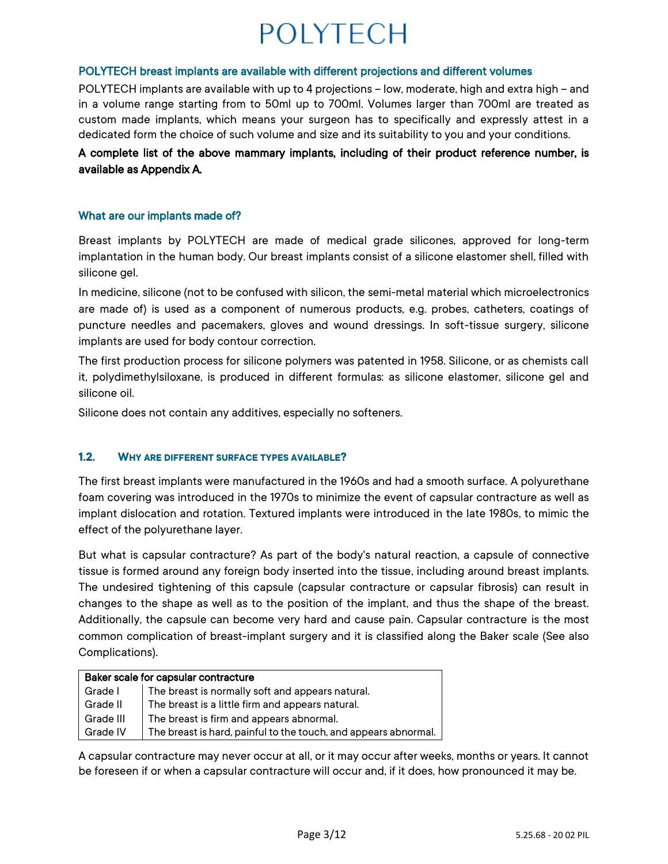#### POLYTECH breast implants are available with different projections and different volumes

POLYTECH implants are available with up to 4 projections – low, moderate, high and extra high – and in a volume range starting from to 50ml up to 700ml. Volumes larger than 700ml are treated as custom made implants, which means your surgeon has to specifically and expressly attest in a dedicated form the choice of such volume and size and its suitability to you and your conditions.

## A complete list of the above mammary implants, including of their product reference number, is available as Appendix A.

### What are our implants made of?

Breast implants by POLYTECH are made of medical grade silicones, approved for long-term implantation in the human body. Our breast implants consist of a silicone elastomer shell, filled with silicone gel.

In medicine, silicone (not to be confused with silicon, the semi-metal material which microelectronics are made of) is used as a component of numerous products, e.g. probes, catheters, coatings of puncture needles and pacemakers, gloves and wound dressings. In soft-tissue surgery, silicone implants are used for body contour correction.

The first production process for silicone polymers was patented in 1958. Silicone, or as chemists call it, polydimethylsiloxane, is produced in different formulas: as silicone elastomer, silicone gel and silicone oil.

Silicone does not contain any additives, especially no softeners.

#### **1.2. WHY ARE DIFFERENT SURFACE TYPES AVAILABLE?**

The first breast implants were manufactured in the 1960s and had a smooth surface. A polyurethane foam covering was introduced in the 1970s to minimize the event of capsular contracture as well as implant dislocation and rotation. Textured implants were introduced in the late 1980s, to mimic the effect of the polyurethane layer.

But what is capsular contracture? As part of the body's natural reaction, a capsule of connective tissue is formed around any foreign body inserted into the tissue, including around breast implants. The undesired tightening of this capsule (capsular contracture or capsular fibrosis) can result in changes to the shape as well as to the position of the implant, and thus the shape of the breast. Additionally, the capsule can become very hard and cause pain. Capsular contracture is the most common complication of breast-implant surgery and it is classified along the Baker scale (See also Complications).

| Baker scale for capsular contracture |                                                                 |  |  |  |
|--------------------------------------|-----------------------------------------------------------------|--|--|--|
| Grade I                              | The breast is normally soft and appears natural.                |  |  |  |
| Grade II                             | The breast is a little firm and appears natural.                |  |  |  |
| Grade III                            | The breast is firm and appears abnormal.                        |  |  |  |
| Grade IV                             | The breast is hard, painful to the touch, and appears abnormal. |  |  |  |

A capsular contracture may never occur at all, or it may occur after weeks, months or years. It cannot be foreseen if or when a capsular contracture will occur and, if it does, how pronounced it may be.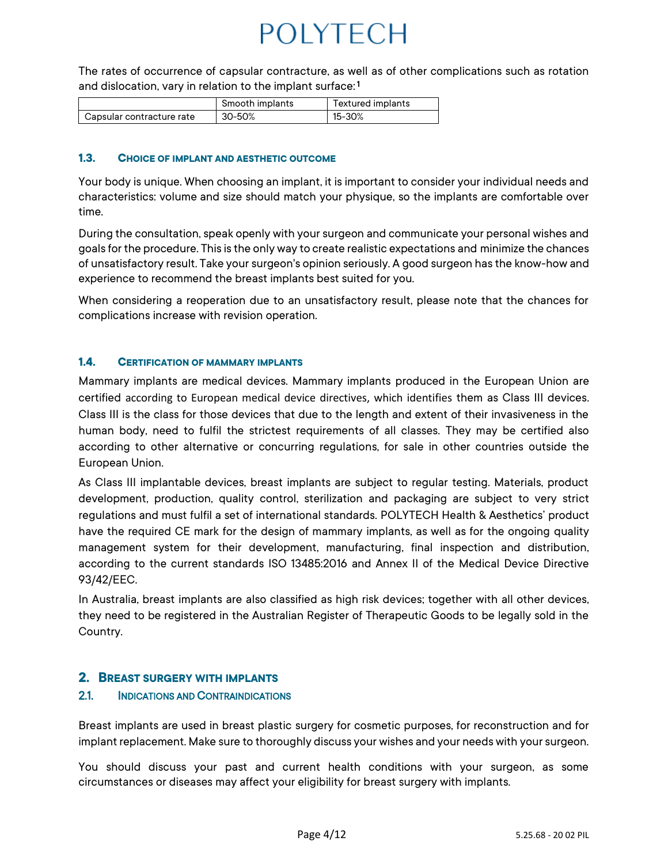The rates of occurrence of capsular contracture, as well as of other complications such as rotation and dislocation, vary in relation to the implant surface:  $^{\mathbf{\mathsf{1}}}$ 

|                           | Smooth implants | Textured implants |
|---------------------------|-----------------|-------------------|
| Capsular contracture rate | 30-50%          | 15-30%            |

#### **1.3. CHOICE OF IMPLANT AND AESTHETIC OUTCOME**

Your body is unique. When choosing an implant, it is important to consider your individual needs and characteristics: volume and size should match your physique, so the implants are comfortable over time.

During the consultation, speak openly with your surgeon and communicate your personal wishes and goals for the procedure. This is the only way to create realistic expectations and minimize the chances of unsatisfactory result. Take your surgeon's opinion seriously. A good surgeon has the know-how and experience to recommend the breast implants best suited for you.

When considering a reoperation due to an unsatisfactory result, please note that the chances for complications increase with revision operation.

#### **1.4. CERTIFICATION OF MAMMARY IMPLANTS**

Mammary implants are medical devices. Mammary implants produced in the European Union are certified according to European medical device directives, which identifies them as Class III devices. Class III is the class for those devices that due to the length and extent of their invasiveness in the human body, need to fulfil the strictest requirements of all classes. They may be certified also according to other alternative or concurring regulations, for sale in other countries outside the European Union.

As Class III implantable devices, breast implants are subject to regular testing. Materials, product development, production, quality control, sterilization and packaging are subject to very strict regulations and must fulfil a set of international standards. POLYTECH Health & Aesthetics' product have the required CE mark for the design of mammary implants, as well as for the ongoing quality management system for their development, manufacturing, final inspection and distribution, according to the current standards ISO 13485:2016 and Annex II of the Medical Device Directive 93/42/EEC.

In Australia, breast implants are also classified as high risk devices; together with all other devices, they need to be registered in the Australian Register of Therapeutic Goods to be legally sold in the Country.

### **2. BREAST SURGERY WITH IMPLANTS**

#### 2.1. INDICATIONS AND CONTRAINDICATIONS

Breast implants are used in breast plastic surgery for cosmetic purposes, for reconstruction and for implant replacement. Make sure to thoroughly discuss your wishes and your needs with your surgeon.

You should discuss your past and current health conditions with your surgeon, as some circumstances or diseases may affect your eligibility for breast surgery with implants.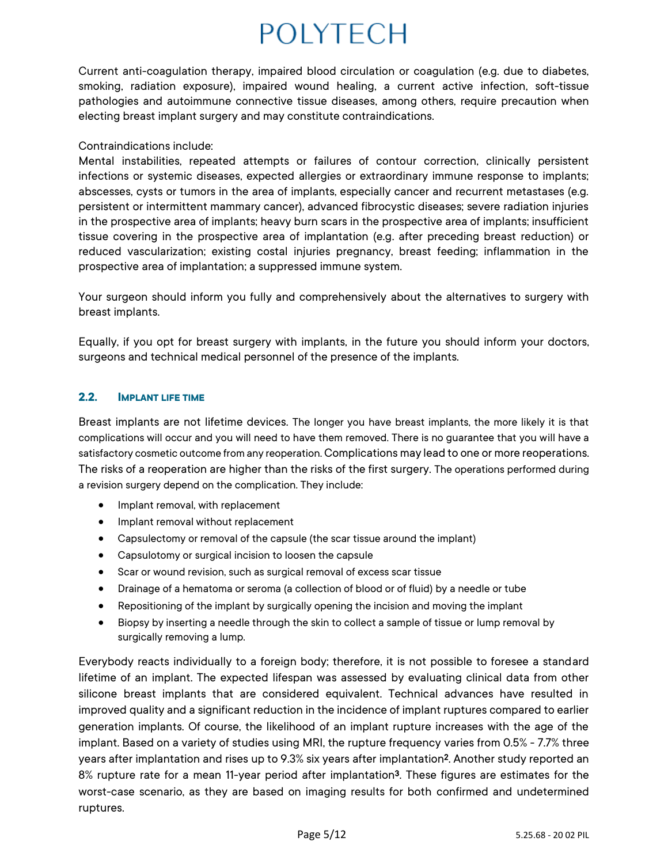Current anti-coagulation therapy, impaired blood circulation or coagulation (e.g. due to diabetes, smoking, radiation exposure), impaired wound healing, a current active infection, soft-tissue pathologies and autoimmune connective tissue diseases, among others, require precaution when electing breast implant surgery and may constitute contraindications.

### Contraindications include:

Mental instabilities, repeated attempts or failures of contour correction, clinically persistent infections or systemic diseases, expected allergies or extraordinary immune response to implants; abscesses, cysts or tumors in the area of implants, especially cancer and recurrent metastases (e.g. persistent or intermittent mammary cancer), advanced fibrocystic diseases; severe radiation injuries in the prospective area of implants; heavy burn scars in the prospective area of implants; insufficient tissue covering in the prospective area of implantation (e.g. after preceding breast reduction) or reduced vascularization; existing costal injuries pregnancy, breast feeding; inflammation in the prospective area of implantation; a suppressed immune system.

Your surgeon should inform you fully and comprehensively about the alternatives to surgery with breast implants.

Equally, if you opt for breast surgery with implants, in the future you should inform your doctors, surgeons and technical medical personnel of the presence of the implants.

## **2.2. IMPLANT LIFE TIME**

Breast implants are not lifetime devices. The longer you have breast implants, the more likely it is that complications will occur and you will need to have them removed. There is no guarantee that you will have a satisfactory cosmetic outcome from any reoperation. Complications may lead to one or more reoperations. The risks of a reoperation are higher than the risks of the first surgery. The operations performed during a revision surgery depend on the complication. They include:

- Implant removal, with replacement
- Implant removal without replacement
- Capsulectomy or removal of the capsule (the scar tissue around the implant)
- Capsulotomy or surgical incision to loosen the capsule
- Scar or wound revision, such as surgical removal of excess scar tissue
- Drainage of a hematoma or seroma (a collection of blood or of fluid) by a needle or tube
- Repositioning of the implant by surgically opening the incision and moving the implant
- Biopsy by inserting a needle through the skin to collect a sample of tissue or lump removal by surgically removing a lump.

Everybody reacts individually to a foreign body; therefore, it is not possible to foresee a standard lifetime of an implant. The expected lifespan was assessed by evaluating clinical data from other silicone breast implants that are considered equivalent. Technical advances have resulted in improved quality and a significant reduction in the incidence of implant ruptures compared to earlier generation implants. Of course, the likelihood of an implant rupture increases with the age of the implant. Based on a variety of studies using MRI, the rupture frequency varies from 0.5% - 7.7% three years after implantation and rises up to 9.3% six years after implantation<sup>2</sup> . Another study reported an 8% rupture rate for a mean 11-year period after implantation<sup>3</sup> . These figures are estimates for the worst-case scenario, as they are based on imaging results for both confirmed and undetermined ruptures.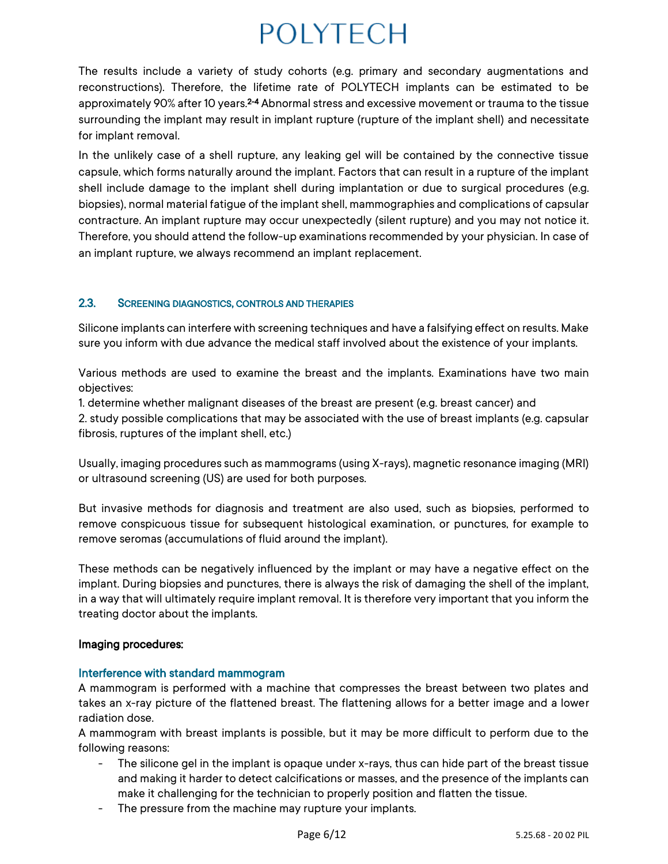The results include a variety of study cohorts (e.g. primary and secondary augmentations and reconstructions). Therefore, the lifetime rate of POLYTECH implants can be estimated to be approximately 90% after 10 years.2-4 Abnormal stress and excessive movement or trauma to the tissue surrounding the implant may result in implant rupture (rupture of the implant shell) and necessitate for implant removal.

In the unlikely case of a shell rupture, any leaking gel will be contained by the connective tissue capsule, which forms naturally around the implant. Factors that can result in a rupture of the implant shell include damage to the implant shell during implantation or due to surgical procedures (e.g. biopsies), normal material fatigue of the implant shell, mammographies and complications of capsular contracture. An implant rupture may occur unexpectedly (silent rupture) and you may not notice it. Therefore, you should attend the follow-up examinations recommended by your physician. In case of an implant rupture, we always recommend an implant replacement.

## 2.3. SCREENING DIAGNOSTICS, CONTROLS AND THERAPIES

Silicone implants can interfere with screening techniques and have a falsifying effect on results. Make sure you inform with due advance the medical staff involved about the existence of your implants.

Various methods are used to examine the breast and the implants. Examinations have two main objectives:

1. determine whether malignant diseases of the breast are present (e.g. breast cancer) and 2. study possible complications that may be associated with the use of breast implants (e.g. capsular fibrosis, ruptures of the implant shell, etc.)

Usually, imaging procedures such as mammograms (using X-rays), magnetic resonance imaging (MRI) or ultrasound screening (US) are used for both purposes.

But invasive methods for diagnosis and treatment are also used, such as biopsies, performed to remove conspicuous tissue for subsequent histological examination, or punctures, for example to remove seromas (accumulations of fluid around the implant).

These methods can be negatively influenced by the implant or may have a negative effect on the implant. During biopsies and punctures, there is always the risk of damaging the shell of the implant, in a way that will ultimately require implant removal. It is therefore very important that you inform the treating doctor about the implants.

## Imaging procedures:

## Interference with standard mammogram

A mammogram is performed with a machine that compresses the breast between two plates and takes an x-ray picture of the flattened breast. The flattening allows for a better image and a lower radiation dose.

A mammogram with breast implants is possible, but it may be more difficult to perform due to the following reasons:

- The silicone gel in the implant is opaque under x-rays, thus can hide part of the breast tissue and making it harder to detect calcifications or masses, and the presence of the implants can make it challenging for the technician to properly position and flatten the tissue.
- The pressure from the machine may rupture your implants.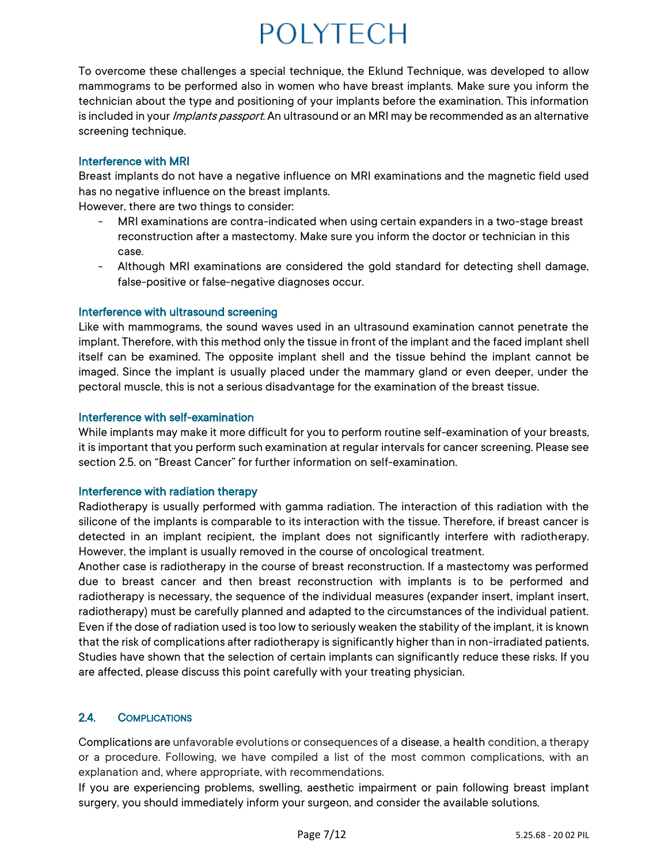To overcome these challenges a special technique, the Eklund Technique, was developed to allow mammograms to be performed also in women who have breast implants. Make sure you inform the technician about the type and positioning of your implants before the examination. This information is included in your *Implants passport*. An ultrasound or an MRI may be recommended as an alternative screening technique.

### Interference with MRI

Breast implants do not have a negative influence on MRI examinations and the magnetic field used has no negative influence on the breast implants.

However, there are two things to consider:

- MRI examinations are contra-indicated when using certain expanders in a two-stage breast reconstruction after a mastectomy. Make sure you inform the doctor or technician in this case.
- Although MRI examinations are considered the gold standard for detecting shell damage, false-positive or false-negative diagnoses occur.

### Interference with ultrasound screening

Like with mammograms, the sound waves used in an ultrasound examination cannot penetrate the implant. Therefore, with this method only the tissue in front of the implant and the faced implant shell itself can be examined. The opposite implant shell and the tissue behind the implant cannot be imaged. Since the implant is usually placed under the mammary gland or even deeper, under the pectoral muscle, this is not a serious disadvantage for the examination of the breast tissue.

#### Interference with self-examination

While implants may make it more difficult for you to perform routine self-examination of your breasts, it is important that you perform such examination at regular intervals for cancer screening. Please see section 2.5. on "Breast Cancer" for further information on self-examination.

#### Interference with radiation therapy

Radiotherapy is usually performed with gamma radiation. The interaction of this radiation with the silicone of the implants is comparable to its interaction with the tissue. Therefore, if breast cancer is detected in an implant recipient, the implant does not significantly interfere with radiotherapy. However, the implant is usually removed in the course of oncological treatment.

Another case is radiotherapy in the course of breast reconstruction. If a mastectomy was performed due to breast cancer and then breast reconstruction with implants is to be performed and radiotherapy is necessary, the sequence of the individual measures (expander insert, implant insert, radiotherapy) must be carefully planned and adapted to the circumstances of the individual patient. Even if the dose of radiation used is too low to seriously weaken the stability of the implant, it is known that the risk of complications after radiotherapy is significantly higher than in non-irradiated patients. Studies have shown that the selection of certain implants can significantly reduce these risks. If you are affected, please discuss this point carefully with your treating physician.

# 2.4. COMPLICATIONS

Complications are unfavorable evolutions or consequences of a disease, a health condition, a therapy or a procedure. Following, we have compiled a list of the most common complications, with an explanation and, where appropriate, with recommendations.

If you are experiencing problems, swelling, aesthetic impairment or pain following breast implant surgery, you should immediately inform your surgeon, and consider the available solutions.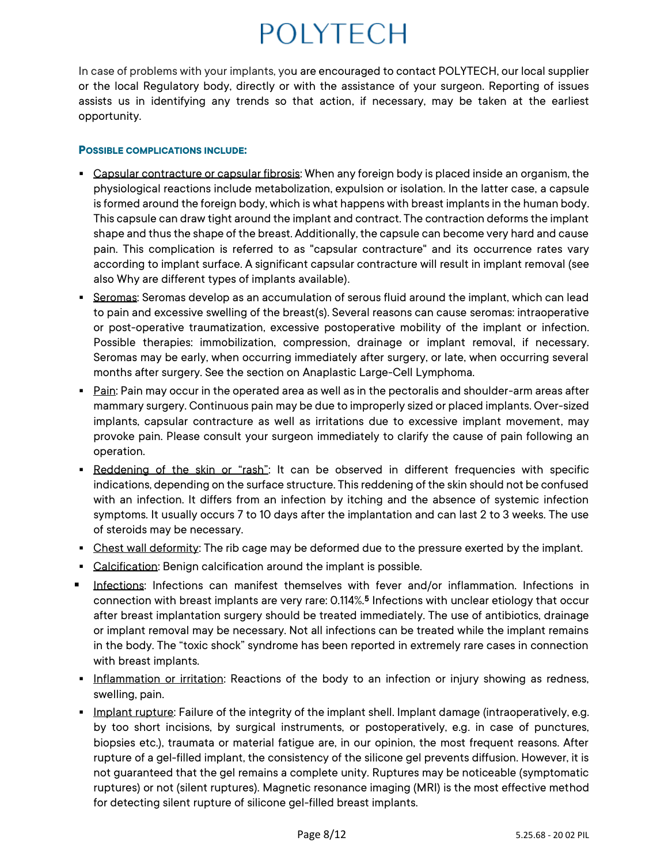In case of problems with your implants, you are encouraged to contact POLYTECH, our local supplier or the local Regulatory body, directly or with the assistance of your surgeon. Reporting of issues assists us in identifying any trends so that action, if necessary, may be taken at the earliest opportunity.

#### **POSSIBLE COMPLICATIONS INCLUDE:**

- **Example 2** Capsular contracture or capsular fibrosis: When any foreign body is placed inside an organism, the physiological reactions include metabolization, expulsion or isolation. In the latter case, a capsule is formed around the foreign body, which is what happens with breast implants in the human body. This capsule can draw tight around the implant and contract. The contraction deforms the implant shape and thus the shape of the breast. Additionally, the capsule can become very hard and cause pain. This complication is referred to as "capsular contracture" and its occurrence rates vary according to implant surface. A significant capsular contracture will result in implant removal (see also Why are different types of implants available).
- **EXECT ASSET SERVIERS: Seromas develop as an accumulation of serous fluid around the implant, which can lead** to pain and excessive swelling of the breast(s). Several reasons can cause seromas: intraoperative or post-operative traumatization, excessive postoperative mobility of the implant or infection. Possible therapies: immobilization, compression, drainage or implant removal, if necessary. Seromas may be early, when occurring immediately after surgery, or late, when occurring several months after surgery. See the section on Anaplastic Large-Cell Lymphoma.
- **E** Pain: Pain may occur in the operated area as well as in the pectoralis and shoulder-arm areas after mammary surgery. Continuous pain may be due to improperly sized or placed implants. Over-sized implants, capsular contracture as well as irritations due to excessive implant movement, may provoke pain. Please consult your surgeon immediately to clarify the cause of pain following an operation.
- **Reddening of the skin or "rash":** It can be observed in different frequencies with specific indications, depending on the surface structure. This reddening of the skin should not be confused with an infection. It differs from an infection by itching and the absence of systemic infection symptoms. It usually occurs 7 to 10 days after the implantation and can last 2 to 3 weeks. The use of steroids may be necessary.
- **EXECT LEST 1.1** Chest wall deformity: The rib cage may be deformed due to the pressure exerted by the implant.
- Calcification: Benign calcification around the implant is possible.
- **E** Infections: Infections can manifest themselves with fever and/or inflammation. Infections in connection with breast implants are very rare: 0.114%.<sup>5</sup> Infections with unclear etiology that occur after breast implantation surgery should be treated immediately. The use of antibiotics, drainage or implant removal may be necessary. Not all infections can be treated while the implant remains in the body. The "toxic shock" syndrome has been reported in extremely rare cases in connection with breast implants.
- **.** Inflammation or irritation: Reactions of the body to an infection or injury showing as redness, swelling, pain.
- **Examplant rupture:** Failure of the integrity of the implant shell. Implant damage (intraoperatively, e.g. by too short incisions, by surgical instruments, or postoperatively, e.g. in case of punctures, biopsies etc.), traumata or material fatigue are, in our opinion, the most frequent reasons. After rupture of a gel-filled implant, the consistency of the silicone gel prevents diffusion. However, it is not guaranteed that the gel remains a complete unity. Ruptures may be noticeable (symptomatic ruptures) or not (silent ruptures). Magnetic resonance imaging (MRI) is the most effective method for detecting silent rupture of silicone gel-filled breast implants.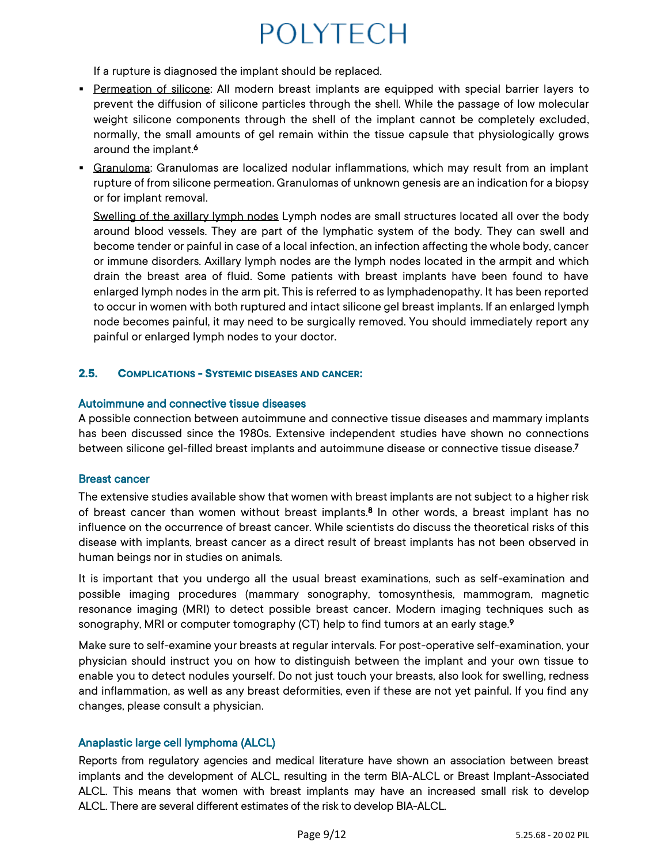If a rupture is diagnosed the implant should be replaced.

- **Permeation of silicone:** All modern breast implants are equipped with special barrier layers to prevent the diffusion of silicone particles through the shell. While the passage of low molecular weight silicone components through the shell of the implant cannot be completely excluded, normally, the small amounts of gel remain within the tissue capsule that physiologically grows around the implant.<sup>6</sup>
- **Examuloma:** Granulomas are localized nodular inflammations, which may result from an implant rupture of from silicone permeation. Granulomas of unknown genesis are an indication for a biopsy or for implant removal.

Swelling of the axillary lymph nodes Lymph nodes are small structures located all over the body around blood vessels. They are part of the lymphatic system of the body. They can swell and become tender or painful in case of a local infection, an infection affecting the whole body, cancer or immune disorders. Axillary lymph nodes are the lymph nodes located in the armpit and which drain the breast area of fluid. Some patients with breast implants have been found to have enlarged lymph nodes in the arm pit. This is referred to as lymphadenopathy. It has been reported to occur in women with both ruptured and intact silicone gel breast implants. If an enlarged lymph node becomes painful, it may need to be surgically removed. You should immediately report any painful or enlarged lymph nodes to your doctor.

### **2.5. COMPLICATIONS - SYSTEMIC DISEASES AND CANCER:**

### Autoimmune and connective tissue diseases

A possible connection between autoimmune and connective tissue diseases and mammary implants has been discussed since the 1980s. Extensive independent studies have shown no connections between silicone gel-filled breast implants and autoimmune disease or connective tissue disease. 7

#### Breast cancer

The extensive studies available show that women with breast implants are not subject to a higher risk of breast cancer than women without breast implants.<sup>8</sup> In other words, a breast implant has no influence on the occurrence of breast cancer. While scientists do discuss the theoretical risks of this disease with implants, breast cancer as a direct result of breast implants has not been observed in human beings nor in studies on animals.

It is important that you undergo all the usual breast examinations, such as self-examination and possible imaging procedures (mammary sonography, tomosynthesis, mammogram, magnetic resonance imaging (MRI) to detect possible breast cancer. Modern imaging techniques such as sonography, MRI or computer tomography (CT) help to find tumors at an early stage.<sup>9</sup>

Make sure to self-examine your breasts at regular intervals. For post-operative self-examination, your physician should instruct you on how to distinguish between the implant and your own tissue to enable you to detect nodules yourself. Do not just touch your breasts, also look for swelling, redness and inflammation, as well as any breast deformities, even if these are not yet painful. If you find any changes, please consult a physician.

## Anaplastic large cell lymphoma (ALCL)

Reports from regulatory agencies and medical literature have shown an association between breast implants and the development of ALCL, resulting in the term BIA-ALCL or Breast Implant-Associated ALCL. This means that women with breast implants may have an increased small risk to develop ALCL. There are several different estimates of the risk to develop BIA-ALCL.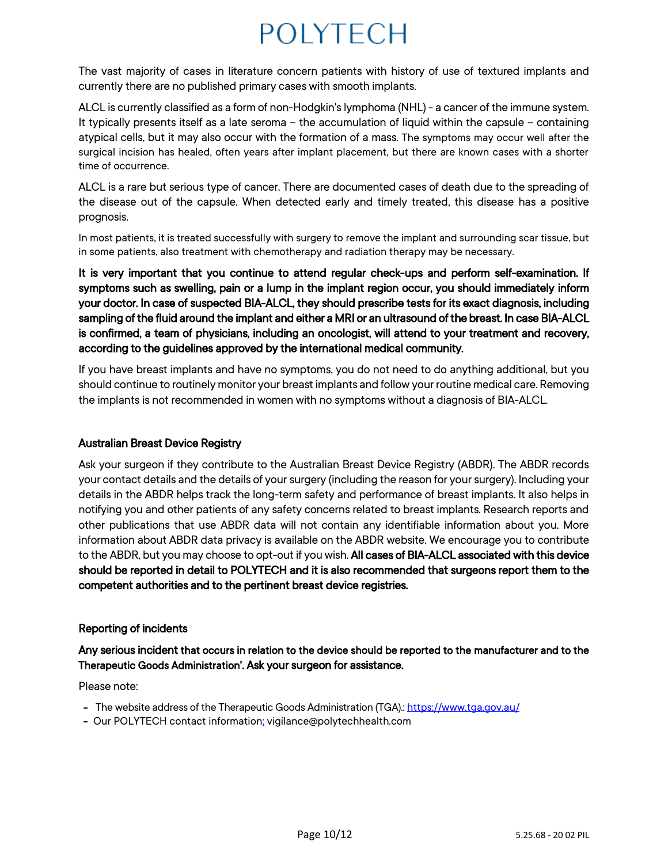The vast majority of cases in literature concern patients with history of use of textured implants and currently there are no published primary cases with smooth implants.

ALCL is currently classified as a form of non-Hodgkin's lymphoma (NHL)- a cancer of the immune system. It typically presents itself as a late seroma – the accumulation of liquid within the capsule – containing atypical cells, but it may also occur with the formation of a mass. The symptoms may occur well after the surgical incision has healed, often years after implant placement, but there are known cases with a shorter time of occurrence.

ALCL is a rare but serious type of cancer. There are documented cases of death due to the spreading of the disease out of the capsule. When detected early and timely treated, this disease has a positive prognosis.

In most patients, it is treated successfully with surgery to remove the implant and surrounding scar tissue, but in some patients, also treatment with chemotherapy and radiation therapy may be necessary.

It is very important that you continue to attend regular check-ups and perform self-examination. If symptoms such as swelling, pain or a lump in the implant region occur, you should immediately inform your doctor. In case of suspected BIA-ALCL, they should prescribe tests for its exact diagnosis, including sampling of the fluid around the implant and either a MRI or an ultrasound of the breast. In case BIA-ALCL is confirmed, a team of physicians, including an oncologist, will attend to your treatment and recovery, according to the guidelines approved by the international medical community.

If you have breast implants and have no symptoms, you do not need to do anything additional, but you should continue to routinely monitor your breast implants and follow your routine medical care. Removing the implantsis not recommended in women with no symptoms without a diagnosis of BIA-ALCL.

## Australian Breast Device Registry

Ask your surgeon if they contribute to the Australian Breast Device Registry (ABDR). The ABDR records your contact details and the details of your surgery (including the reason for your surgery). Including your details in the ABDR helps track the long-term safety and performance of breast implants. It also helps in notifying you and other patients of any safety concerns related to breast implants. Research reports and other publications that use ABDR data will not contain any identifiable information about you. More information about ABDR data privacy is available on the ABDR website. We encourage you to contribute to the ABDR, but you may choose to opt-out if you wish. All cases of BIA-ALCL associated with this device should be reported in detail to POLYTECH and it is also recommended that surgeons report them to the competent authorities and to the pertinent breast device registries.

#### Reporting of incidents

Any serious incident that occurs in relation to the device should be reported to the manufacturer and to the Therapeutic Goods Administration'. Ask your surgeon for assistance.

Please note:

- The website address of the Therapeutic Goods Administration (TGA)[: https://www.tga.gov.au/](https://www.tga.gov.au/)
- Our POLYTECH contact information: vigilance@polytechhealth.com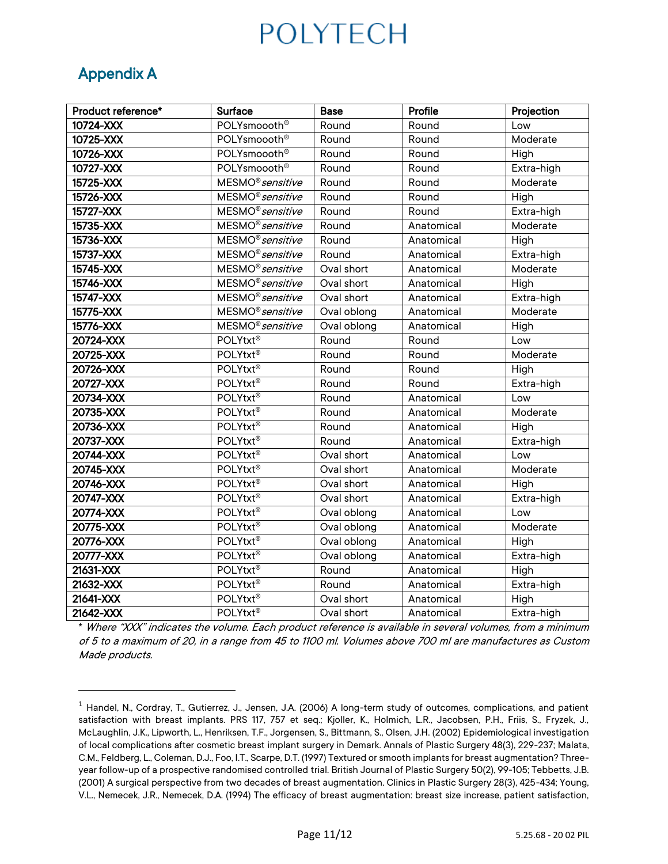# Appendix A

| Product reference* | <b>Surface</b>               | <b>Base</b> | Profile    | Projection |
|--------------------|------------------------------|-------------|------------|------------|
| 10724-XXX          | POLYsmoooth <sup>®</sup>     | Round       | Round      | Low        |
| 10725-XXX          | POLYsmoooth <sup>®</sup>     | Round       | Round      | Moderate   |
| 10726-XXX          | POLYsmoooth <sup>®</sup>     | Round       | Round      | High       |
| 10727-XXX          | POLYsmoooth <sup>®</sup>     | Round       | Round      | Extra-high |
| 15725-XXX          | MESMO <sup>®</sup> sensitive | Round       | Round      | Moderate   |
| 15726-XXX          | MESMO <sup>®</sup> sensitive | Round       | Round      | High       |
| 15727-XXX          | MESMO <sup>®</sup> sensitive | Round       | Round      | Extra-high |
| 15735-XXX          | MESMO <sup>®</sup> sensitive | Round       | Anatomical | Moderate   |
| 15736-XXX          | MESMO <sup>®</sup> sensitive | Round       | Anatomical | High       |
| 15737-XXX          | MESMO <sup>®</sup> sensitive | Round       | Anatomical | Extra-high |
| 15745-XXX          | MESMO <sup>®</sup> sensitive | Oval short  | Anatomical | Moderate   |
| 15746-XXX          | MESMO <sup>®</sup> sensitive | Oval short  | Anatomical | High       |
| 15747-XXX          | MESMO <sup>®</sup> sensitive | Oval short  | Anatomical | Extra-high |
| 15775-XXX          | MESMO <sup>®</sup> sensitive | Oval oblong | Anatomical | Moderate   |
| 15776-XXX          | MESMO <sup>®</sup> sensitive | Oval oblong | Anatomical | High       |
| 20724-XXX          | POLYtxt <sup>®</sup>         | Round       | Round      | Low        |
| 20725-XXX          | POLYtxt®                     | Round       | Round      | Moderate   |
| 20726-XXX          | POLYtxt®                     | Round       | Round      | High       |
| 20727-XXX          | POLYtxt®                     | Round       | Round      | Extra-high |
| 20734-XXX          | POLYtxt®                     | Round       | Anatomical | Low        |
| 20735-XXX          | POLYtxt®                     | Round       | Anatomical | Moderate   |
| 20736-XXX          | POLYtxt®                     | Round       | Anatomical | High       |
| 20737-XXX          | POLYtxt®                     | Round       | Anatomical | Extra-high |
| 20744-XXX          | POLYtxt®                     | Oval short  | Anatomical | Low        |
| 20745-XXX          | <b>POLYtxt®</b>              | Oval short  | Anatomical | Moderate   |
| 20746-XXX          | <b>POLYtxt®</b>              | Oval short  | Anatomical | High       |
| 20747-XXX          | POLYtxt®                     | Oval short  | Anatomical | Extra-high |
| 20774-XXX          | POLYtxt®                     | Oval oblong | Anatomical | Low        |
| 20775-XXX          | POLYtxt®                     | Oval oblong | Anatomical | Moderate   |
| 20776-XXX          | POLYtxt®                     | Oval oblong | Anatomical | High       |
| 20777-XXX          | <b>POLYtxt®</b>              | Oval oblong | Anatomical | Extra-high |
| 21631-XXX          | <b>POLYtxt®</b>              | Round       | Anatomical | High       |
| 21632-XXX          | POLYtxt®                     | Round       | Anatomical | Extra-high |
| 21641-XXX          | POLYtxt®                     | Oval short  | Anatomical | High       |
| 21642-XXX          | POLYtxt®                     | Oval short  | Anatomical | Extra-high |

\* Where "XXX" indicates the volume. Each product reference is available in several volumes, from a minimum of 5 to a maximum of 20, in a range from 45 to 1100 ml. Volumes above 700 ml are manufactures as Custom Made products.

 $1$  Handel, N., Cordray, T., Gutierrez, J., Jensen, J.A. (2006) A long-term study of outcomes, complications, and patient satisfaction with breast implants. PRS 117, 757 et seq.; Kjoller, K., Holmich, L.R., Jacobsen, P.H., Friis, S., Fryzek, J., McLaughlin, J.K., Lipworth, L., Henriksen, T.F., Jorgensen, S., Bittmann, S., Olsen, J.H. (2002) Epidemiological investigation of local complications after cosmetic breast implant surgery in Demark. Annals of Plastic Surgery 48(3), 229-237; Malata, C.M., Feldberg, L., Coleman, D.J., Foo, I.T., Scarpe, D.T. (1997) Textured or smooth implants for breast augmentation? Threeyear follow-up of a prospective randomised controlled trial. British Journal of Plastic Surgery 50(2), 99-105; Tebbetts, J.B. (2001) A surgical perspective from two decades of breast augmentation. Clinics in Plastic Surgery 28(3), 425-434; Young, V.L., Nemecek, J.R., Nemecek, D.A. (1994) The efficacy of breast augmentation: breast size increase, patient satisfaction,